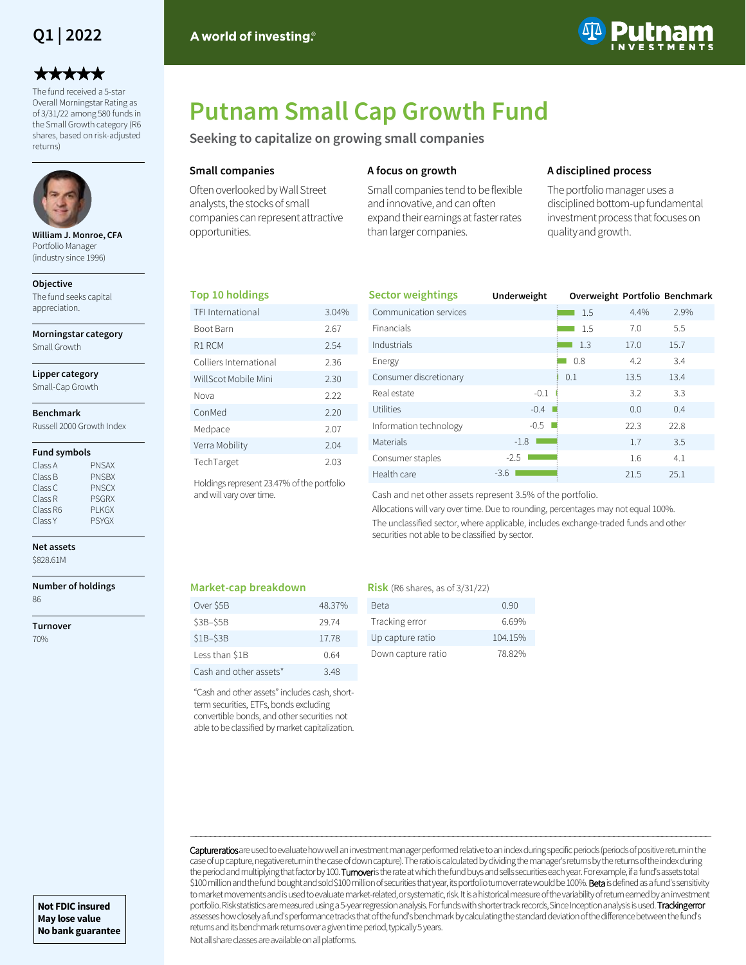## **Q1 | 2022**

# \*\*\*\*\*

The fund received a 5-star Overall Morningstar Rating as of 3/31/22 among 580 funds in the Small Growth category (R6 shares, based on risk-adjusted returns)



**William J. Monroe, CFA**  Portfolio Manager (industry since 1996)

#### **Objective**

The fund seeks capital appreciation.

**Morningstar category**

Small Growth

### **Lipper category**

Small-Cap Growth

#### **Benchmark**

Russell 2000 Growth Index

#### **Fund symbols**

| Class A  | <b>PNSAX</b> |
|----------|--------------|
| Class B  | <b>PNSBX</b> |
| Class C  | <b>PNSCX</b> |
| Class R  | <b>PSGRX</b> |
| Class R6 | PI KGX       |
| Class Y  | <b>PSYGX</b> |
|          |              |

**Net assets** \$828.61M

#### **Number of holdings** 86

**Turnover**

70%

#### A world of investing.<sup>®</sup>



# **Putnam Small Cap Growth Fund**

**Seeking to capitalize on growing small companies**

#### **Small companies**

Often overlooked by Wall Street analysts, the stocks of small companies can represent attractive opportunities.

#### **A focus on growth**

Small companies tend to be flexible and innovative, and can often expand their earnings at faster rates than larger companies.

#### **A disciplined process**

The portfolio manager uses a disciplined bottom-up fundamental investment process that focuses on quality and growth.

#### **Top 10 holdings**

| TFI International                          | 3.04% |  |  |  |
|--------------------------------------------|-------|--|--|--|
| Boot Barn                                  | 2.67  |  |  |  |
| R1 RCM                                     | 2.54  |  |  |  |
| Colliers International                     | 2.36  |  |  |  |
| WillScot Mobile Mini                       | 2.30  |  |  |  |
| Nova                                       | 2.22  |  |  |  |
| ConMed                                     | 2.20  |  |  |  |
| Medpace                                    | 2.07  |  |  |  |
| Verra Mobility                             | 2.04  |  |  |  |
| TechTarget                                 | 2.03  |  |  |  |
| Holdings represent 23.47% of the portfolio |       |  |  |  |

| <b>Sector weightings</b> | Underweight |     |      | Overweight Portfolio Benchmark |
|--------------------------|-------------|-----|------|--------------------------------|
| Communication services   |             | 1.5 | 4.4% | 2.9%                           |
| <b>Financials</b>        |             | 1.5 | 7.0  | 5.5                            |
| Industrials              |             | 1.3 | 17.0 | 15.7                           |
| Energy                   |             | 0.8 | 4.2  | 3.4                            |
| Consumer discretionary   |             | 0.1 | 13.5 | 13.4                           |
| Real estate              | $-0.1$      |     | 3.2  | 3.3                            |
| Utilities                | $-0.4$      |     | 0.0  | 0.4                            |
| Information technology   | $-0.5$      |     | 22.3 | 22.8                           |
| Materials                | $-1.8$      |     | 1.7  | 3.5                            |
| Consumer staples         | $-2.5$      |     | 1.6  | 4.1                            |
| Health care              | $-3.6$      |     | 21.5 | 25.1                           |

Cash and net other assets represent 3.5% of the portfolio.

Allocations will vary over time. Due to rounding, percentages may not equal 100%. The unclassified sector, where applicable, includes exchange-traded funds and other securities not able to be classified by sector.

#### **Market-cap breakdown**

and will vary over time.

| Over \$5B              | 48.37% |
|------------------------|--------|
| $S3B-S5B$              | 29.74  |
| $$1B-$3B$              | 17.78  |
| Less than \$1B         | 0.64   |
| Cash and other assets* | 348    |

"Cash and other assets" includes cash, shortterm securities, ETFs, bonds excluding convertible bonds, and other securities not able to be classified by market capitalization.

#### **Risk** (R6 shares, as of 3/31/22)

| Beta               | 0.90    |
|--------------------|---------|
| Tracking error     | 6.69%   |
| Up capture ratio   | 104.15% |
| Down capture ratio | 7882%   |

Capture ratios are used to evaluate how well an investment manager performed relative to an index during specific periods (periods of positive return in the case of up capture, negative return in the case of down capture). The ratio is calculated by dividing the manager's returns by the returns of the index during the period and multiplying that factor by 100. Turnover is the rate at which the fund buys and sells securities each year. For example, if a fund's assets total \$100 million and the fund bought and sold \$100 million of securities that year, its portfolio turnover rate would be 100%. Beta is defined as a fund's sensitivity to market movements and is used to evaluate market-related, or systematic, risk. It is a historical measure of the variability of return earned by an investment portfolio. Risk statistics are measured using a 5-year regression analysis. For funds with shorter track records, Since Inception analysis is used. Tracking error assesses how closely a fund's performance tracks that of the fund's benchmark by calculating the standard deviation of the difference between the fund's returns and its benchmark returns over a given time period, typically 5 years.

―――――――――――――――――――――――――――――――――――――――――――――――――――――――――――――――――――――――――――――――――――――――――――――――――――――――――――

Not all share classes are available on all platforms.

**Not FDIC insured May lose value No bank guarantee**